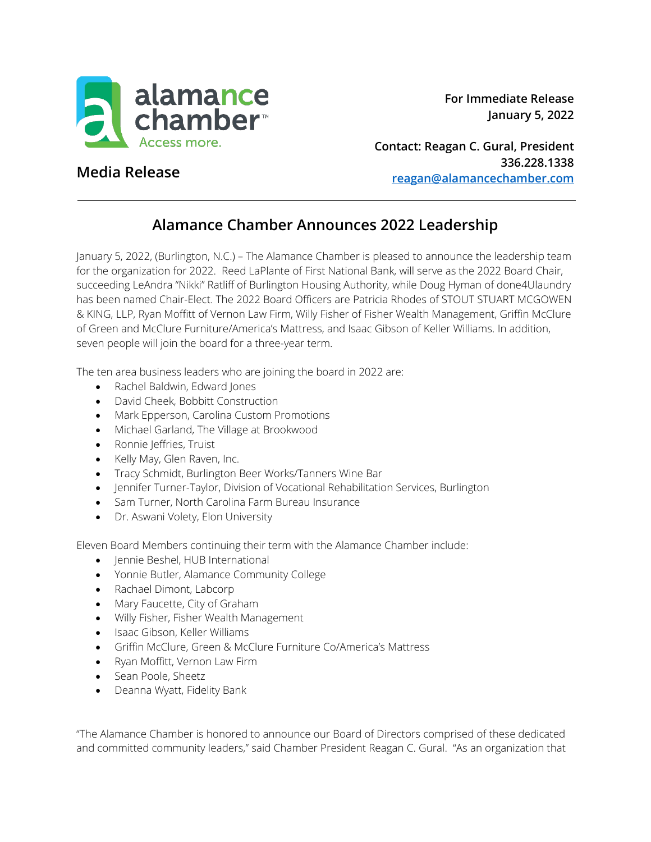

**Contact: Reagan C. Gural, President 336.228.1338 [reagan@alamancechamber.com](mailto:reagan@alamancechamber.com)**

## **Media Release**

## **Alamance Chamber Announces 2022 Leadership**

January 5, 2022, (Burlington, N.C.) – The Alamance Chamber is pleased to announce the leadership team for the organization for 2022. Reed LaPlante of First National Bank, will serve as the 2022 Board Chair, succeeding LeAndra "Nikki" Ratliff of Burlington Housing Authority, while Doug Hyman of done4Ulaundry has been named Chair-Elect. The 2022 Board Officers are Patricia Rhodes of STOUT STUART MCGOWEN & KING, LLP, Ryan Moffitt of Vernon Law Firm, Willy Fisher of Fisher Wealth Management, Griffin McClure of Green and McClure Furniture/America's Mattress, and Isaac Gibson of Keller Williams. In addition, seven people will join the board for a three-year term.

The ten area business leaders who are joining the board in 2022 are:

- Rachel Baldwin, Edward Jones
- David Cheek, Bobbitt Construction
- Mark Epperson, Carolina Custom Promotions
- Michael Garland, The Village at Brookwood
- Ronnie Jeffries, Truist
- Kelly May, Glen Raven, Inc.
- Tracy Schmidt, Burlington Beer Works/Tanners Wine Bar
- Jennifer Turner-Taylor, Division of Vocational Rehabilitation Services, Burlington
- Sam Turner, North Carolina Farm Bureau Insurance
- Dr. Aswani Volety, Elon University

Eleven Board Members continuing their term with the Alamance Chamber include:

- Jennie Beshel, HUB International
- Yonnie Butler, Alamance Community College
- Rachael Dimont, Labcorp
- Mary Faucette, City of Graham
- Willy Fisher, Fisher Wealth Management
- Isaac Gibson, Keller Williams
- Griffin McClure, Green & McClure Furniture Co/America's Mattress
- Ryan Moffitt, Vernon Law Firm
- Sean Poole, Sheetz
- Deanna Wyatt, Fidelity Bank

"The Alamance Chamber is honored to announce our Board of Directors comprised of these dedicated and committed community leaders," said Chamber President Reagan C. Gural. "As an organization that